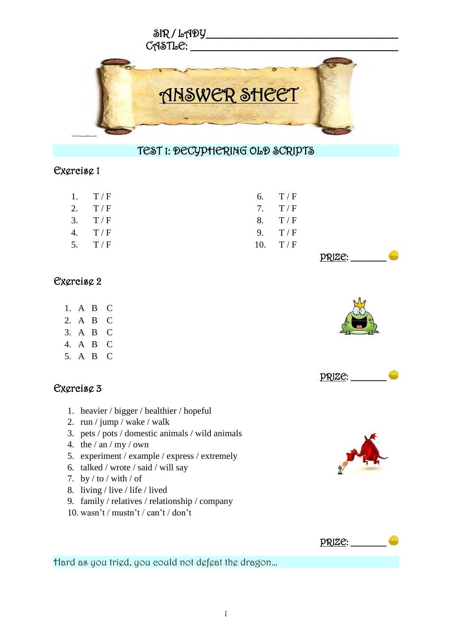

## TEST 1: DECYPHERING OLD SCRIPTS

#### Exercise 1

| 1. $T/F$ |  | 6. $T/F$  |
|----------|--|-----------|
| 2. $T/F$ |  | 7. $T/F$  |
| 3. T/F   |  | 8. $T/F$  |
| 4. $T/F$ |  | 9. $T/F$  |
| 5. $T/F$ |  | 10. $T/F$ |
|          |  |           |

### Exercise 2

- 1. A B C
- 2. A B C
- 3. A B C
- 4. A B C
- 5. A B C

| Exercise 3 |
|------------|
|------------|

- 1. heavier / bigger / healthier / hopeful
- 2. run / jump / wake / walk
- 3. pets / pots / domestic animals / wild animals
- 4. the  $/$  an  $/$  my  $/$  own
- 5. experiment / example / express / extremely
- 6. talked / wrote / said / will say
- 7. by  $/$  to  $/$  with  $/$  of
- 8. living / live / life / lived
- 9. family / relatives / relationship / company
- 10. wasn't / mustn't / can't / don't



Hard as you tried, you could not defeat the dragon…









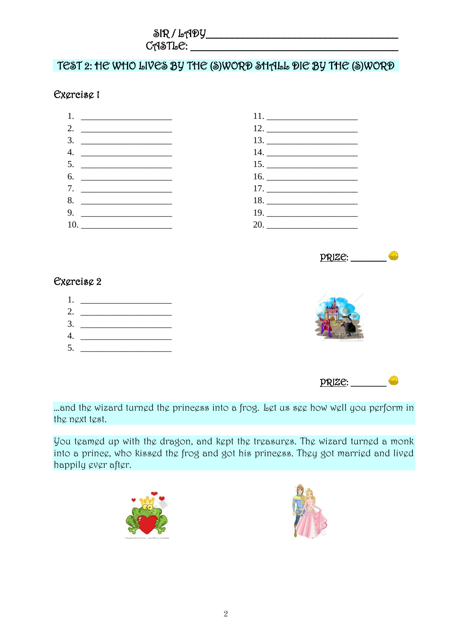TEST 2: HE WHO LIVES BY THE (S)WORD SHALL DIE BY THE (S)WORD

## Exercise 1





### Exercise 2



...and the wizard turned the princess into a frog. Let us see how well you perform in the next test.

You teamed up with the dragon, and kept the treasures. The wizard turned a monk into a prince, who kissed the frog and got his princess. They got married and lived happily ever after.